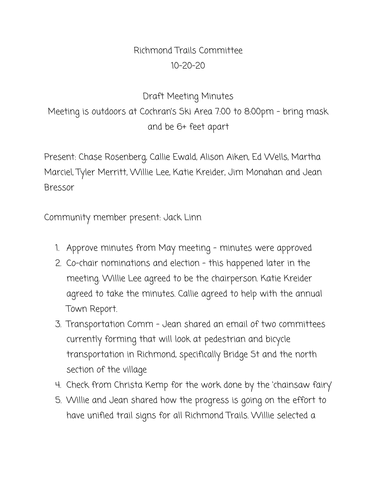## Richmond Trails Committee 10-20-20

## Draft Meeting Minutes Meeting is outdoors at Cochran's Ski Area 7:00 to 8:00pm - bring mask and be 6+ feet apart

Present: Chase Rosenberg, Callie Ewald, Alison Aiken, Ed Wells, Martha Marciel, Tyler Merritt, Willie Lee, Katie Kreider, Jim Monahan and Jean Bressor

Community member present: Jack Linn

- 1. Approve minutes from May meeting minutes were approved
- 2. Co-chair nominations and election this happened later in the meeting. Willie Lee agreed to be the chairperson. Katie Kreider agreed to take the minutes. Callie agreed to help with the annual Town Report.
- 3. Transportation Comm Jean shared an email of two committees currently forming that will look at pedestrian and bicycle transportation in Richmond, specifically Bridge St and the north section of the village
- 4. Check from Christa Kemp for the work done by the 'chainsaw fairy'
- 5. Willie and Jean shared how the progress is going on the effort to have unified trail signs for all Richmond Trails. Willie selected a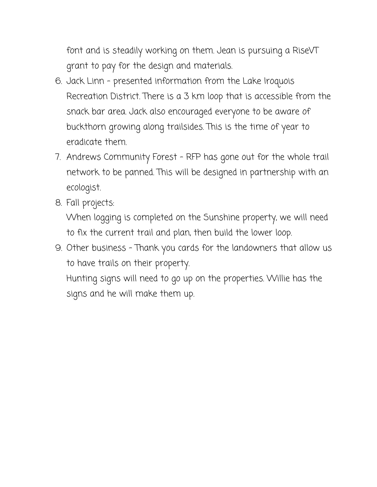font and is steadily working on them. Jean is pursuing a RiseVT grant to pay for the design and materials.

- 6. Jack Linn presented information from the Lake Iroquois Recreation District. There is a 3 km loop that is accessible from the snack bar area. Jack also encouraged everyone to be aware of buckthorn growing along trailsides. This is the time of year to eradicate them.
- 7. Andrews Community Forest RFP has gone out for the whole trail network to be panned. This will be designed in partnership with an ecologist.
- 8. Fall projects:

When logging is completed on the Sunshine property, we will need to fix the current trail and plan, then build the lower loop.

9. Other business - Thank you cards for the landowners that allow us to have trails on their property.

Hunting signs will need to go up on the properties. Willie has the signs and he will make them up.